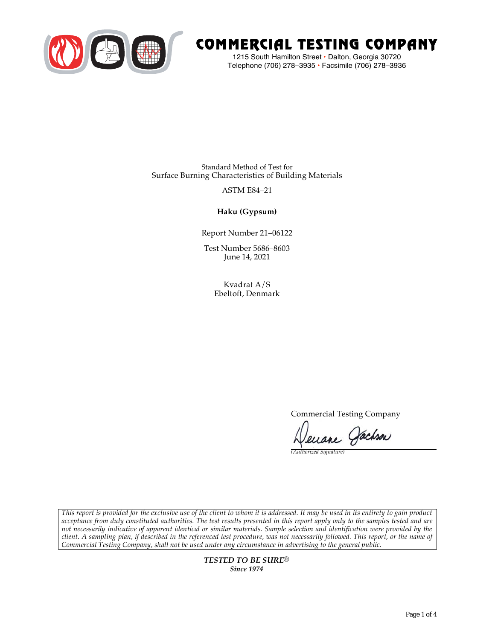

# COMMERCIAL TESTING COMPANY

1215 South Hamilton Street • Dalton, Georgia 30720 Telephone (706) 278–3935 **•** Facsimile (706) 278–3936

Standard Method of Test for Surface Burning Characteristics of Building Materials

## ASTM E84–21

**Haku (Gypsum)**

Report Number 21–06122

Test Number 5686–8603 June 14, 2021

> Kvadrat A/S Ebeltoft, Denmark

> > Commercial Testing Company

Jenane Jachson

*(Authorized Signature)* 

*This report is provided for the exclusive use of the client to whom it is addressed. It may be used in its entirety to gain product acceptance from duly constituted authorities. The test results presented in this report apply only to the samples tested and are not necessarily indicative of apparent identical or similar materials. Sample selection and identification were provided by the client. A sampling plan, if described in the referenced test procedure, was not necessarily followed. This report, or the name of Commercial Testing Company, shall not be used under any circumstance in advertising to the general public.* 

> *TESTED TO BE SURE® Since 1974*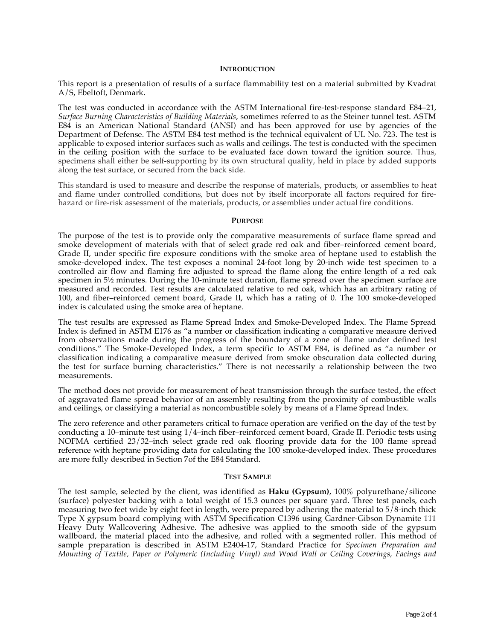#### **INTRODUCTION**

This report is a presentation of results of a surface flammability test on a material submitted by Kvadrat A/S, Ebeltoft, Denmark.

The test was conducted in accordance with the ASTM International fire-test-response standard E84–21, *Surface Burning Characteristics of Building Materials*, sometimes referred to as the Steiner tunnel test. ASTM E84 is an American National Standard (ANSI) and has been approved for use by agencies of the Department of Defense. The ASTM E84 test method is the technical equivalent of UL No. 723. The test is applicable to exposed interior surfaces such as walls and ceilings. The test is conducted with the specimen in the ceiling position with the surface to be evaluated face down toward the ignition source. Thus, specimens shall either be self-supporting by its own structural quality, held in place by added supports along the test surface, or secured from the back side.

This standard is used to measure and describe the response of materials, products, or assemblies to heat and flame under controlled conditions, but does not by itself incorporate all factors required for firehazard or fire-risk assessment of the materials, products, or assemblies under actual fire conditions.

#### **PURPOSE**

The purpose of the test is to provide only the comparative measurements of surface flame spread and smoke development of materials with that of select grade red oak and fiber–reinforced cement board, Grade II, under specific fire exposure conditions with the smoke area of heptane used to establish the smoke-developed index. The test exposes a nominal 24-foot long by 20-inch wide test specimen to a controlled air flow and flaming fire adjusted to spread the flame along the entire length of a red oak specimen in  $5\frac{1}{2}$  minutes. During the 10-minute test duration, flame spread over the specimen surface are measured and recorded. Test results are calculated relative to red oak, which has an arbitrary rating of 100, and fiber–reinforced cement board, Grade II, which has a rating of 0. The 100 smoke-developed index is calculated using the smoke area of heptane.

The test results are expressed as Flame Spread Index and Smoke-Developed Index. The Flame Spread Index is defined in ASTM E176 as "a number or classification indicating a comparative measure derived from observations made during the progress of the boundary of a zone of flame under defined test conditions." The Smoke-Developed Index, a term specific to ASTM E84, is defined as "a number or classification indicating a comparative measure derived from smoke obscuration data collected during the test for surface burning characteristics." There is not necessarily a relationship between the two measurements.

The method does not provide for measurement of heat transmission through the surface tested, the effect of aggravated flame spread behavior of an assembly resulting from the proximity of combustible walls and ceilings, or classifying a material as noncombustible solely by means of a Flame Spread Index.

The zero reference and other parameters critical to furnace operation are verified on the day of the test by conducting a 10–minute test using 1/4–inch fiber–reinforced cement board, Grade II. Periodic tests using NOFMA certified 23/32–inch select grade red oak flooring provide data for the 100 flame spread reference with heptane providing data for calculating the 100 smoke-developed index. These procedures are more fully described in Section 7of the E84 Standard.

#### **TEST SAMPLE**

The test sample, selected by the client, was identified as **Haku (Gypsum)**, 100% polyurethane/silicone (surface) polyester backing with a total weight of 15.3 ounces per square yard. Three test panels, each measuring two feet wide by eight feet in length, were prepared by adhering the material to 5/8-inch thick Type X gypsum board complying with ASTM Specification C1396 using Gardner-Gibson Dynamite 111 Heavy Duty Wallcovering Adhesive. The adhesive was applied to the smooth side of the gypsum wallboard, the material placed into the adhesive, and rolled with a segmented roller. This method of sample preparation is described in ASTM E2404-17, Standard Practice for *Specimen Preparation and Mounting of Textile, Paper or Polymeric (Including Vinyl) and Wood Wall or Ceiling Coverings, Facings and*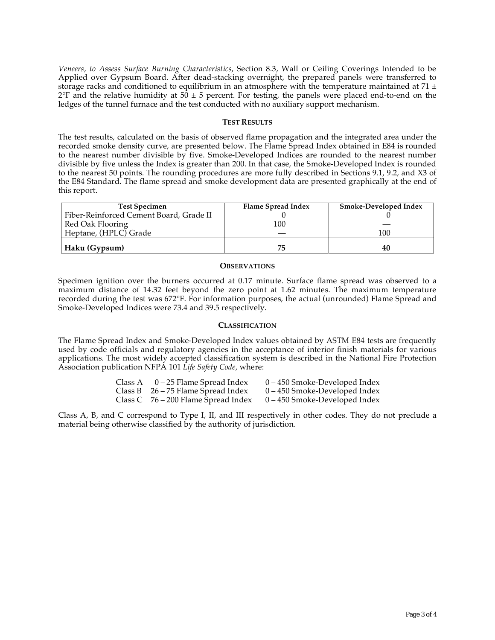*Veneers, to Assess Surface Burning Characteristics*, Section 8.3, Wall or Ceiling Coverings Intended to be Applied over Gypsum Board. After dead-stacking overnight, the prepared panels were transferred to storage racks and conditioned to equilibrium in an atmosphere with the temperature maintained at 71  $\pm$  $2^{\circ}F$  and the relative humidity at 50  $\pm$  5 percent. For testing, the panels were placed end-to-end on the ledges of the tunnel furnace and the test conducted with no auxiliary support mechanism.

#### **TEST RESULTS**

The test results, calculated on the basis of observed flame propagation and the integrated area under the recorded smoke density curve, are presented below. The Flame Spread Index obtained in E84 is rounded to the nearest number divisible by five. Smoke-Developed Indices are rounded to the nearest number divisible by five unless the Index is greater than 200. In that case, the Smoke-Developed Index is rounded to the nearest 50 points. The rounding procedures are more fully described in Sections 9.1, 9.2, and X3 of the E84 Standard. The flame spread and smoke development data are presented graphically at the end of this report.

| <b>Test Specimen</b>                    | Flame Spread Index | Smoke-Developed Index |
|-----------------------------------------|--------------------|-----------------------|
| Fiber-Reinforced Cement Board, Grade II |                    |                       |
| Red Oak Flooring                        | 100                |                       |
| Heptane, (HPLC) Grade                   |                    | 100                   |
| Haku (Gypsum)                           | 75                 | 40                    |

#### **OBSERVATIONS**

Specimen ignition over the burners occurred at 0.17 minute. Surface flame spread was observed to a maximum distance of 14.32 feet beyond the zero point at 1.62 minutes. The maximum temperature recorded during the test was 672°F. For information purposes, the actual (unrounded) Flame Spread and Smoke-Developed Indices were 73.4 and 39.5 respectively.

### **CLASSIFICATION**

The Flame Spread Index and Smoke-Developed Index values obtained by ASTM E84 tests are frequently used by code officials and regulatory agencies in the acceptance of interior finish materials for various applications. The most widely accepted classification system is described in the National Fire Protection Association publication NFPA 101 *Life Safety Code*, where:

| Class A | 0 – 25 Flame Spread Index             | 0 – 450 Smoke-Developed Index   |
|---------|---------------------------------------|---------------------------------|
|         | Class B $26 - 75$ Flame Spread Index  | $0 - 450$ Smoke-Developed Index |
|         | Class C $76 - 200$ Flame Spread Index | $0 - 450$ Smoke-Developed Index |

Class A, B, and C correspond to Type I, II, and III respectively in other codes. They do not preclude a material being otherwise classified by the authority of jurisdiction.